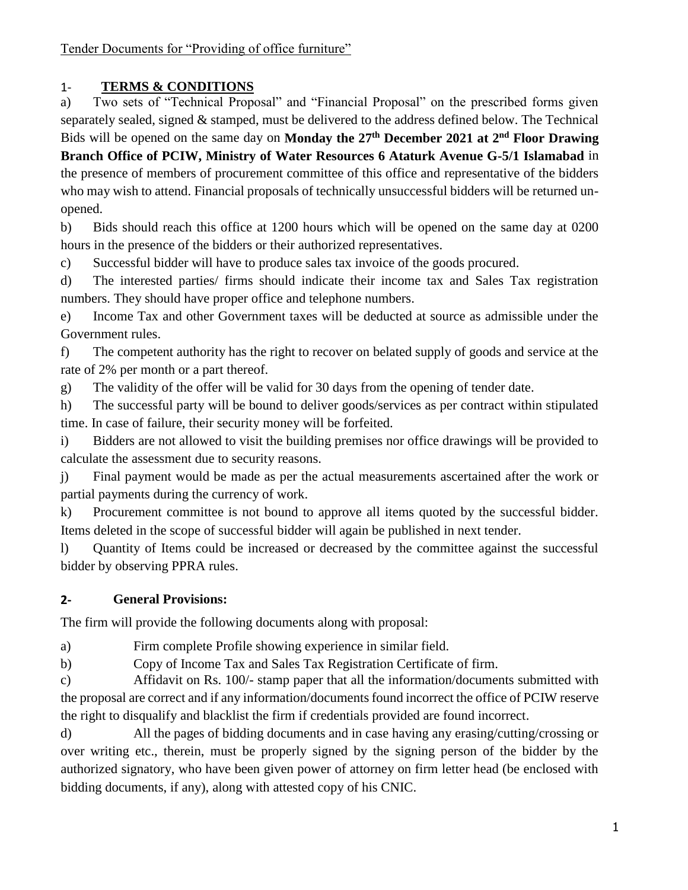### 1- **TERMS & CONDITIONS**

a) Two sets of "Technical Proposal" and "Financial Proposal" on the prescribed forms given separately sealed, signed & stamped, must be delivered to the address defined below. The Technical Bids will be opened on the same day on **Monday the 27 th December 2021 at 2nd Floor Drawing Branch Office of PCIW, Ministry of Water Resources 6 Ataturk Avenue G-5/1 Islamabad** in the presence of members of procurement committee of this office and representative of the bidders who may wish to attend. Financial proposals of technically unsuccessful bidders will be returned unopened.

b) Bids should reach this office at 1200 hours which will be opened on the same day at 0200 hours in the presence of the bidders or their authorized representatives.

c) Successful bidder will have to produce sales tax invoice of the goods procured.

d) The interested parties/ firms should indicate their income tax and Sales Tax registration numbers. They should have proper office and telephone numbers.

e) Income Tax and other Government taxes will be deducted at source as admissible under the Government rules.

f) The competent authority has the right to recover on belated supply of goods and service at the rate of 2% per month or a part thereof.

g) The validity of the offer will be valid for 30 days from the opening of tender date.

h) The successful party will be bound to deliver goods/services as per contract within stipulated time. In case of failure, their security money will be forfeited.

i) Bidders are not allowed to visit the building premises nor office drawings will be provided to calculate the assessment due to security reasons.

j) Final payment would be made as per the actual measurements ascertained after the work or partial payments during the currency of work.

k) Procurement committee is not bound to approve all items quoted by the successful bidder. Items deleted in the scope of successful bidder will again be published in next tender.

l) Quantity of Items could be increased or decreased by the committee against the successful bidder by observing PPRA rules.

### **2- General Provisions:**

The firm will provide the following documents along with proposal:

a) Firm complete Profile showing experience in similar field.

b) Copy of Income Tax and Sales Tax Registration Certificate of firm.

c) Affidavit on Rs. 100/- stamp paper that all the information/documents submitted with the proposal are correct and if any information/documents found incorrect the office of PCIW reserve the right to disqualify and blacklist the firm if credentials provided are found incorrect.

d) All the pages of bidding documents and in case having any erasing/cutting/crossing or over writing etc., therein, must be properly signed by the signing person of the bidder by the authorized signatory, who have been given power of attorney on firm letter head (be enclosed with bidding documents, if any), along with attested copy of his CNIC.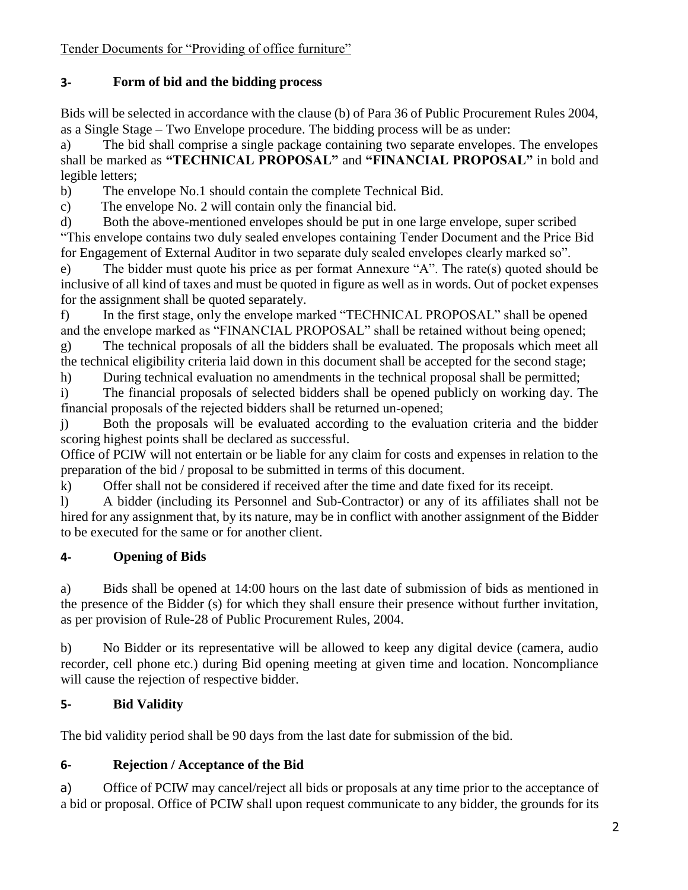### **3- Form of bid and the bidding process**

Bids will be selected in accordance with the clause (b) of Para 36 of Public Procurement Rules 2004, as a Single Stage – Two Envelope procedure. The bidding process will be as under:

a) The bid shall comprise a single package containing two separate envelopes. The envelopes shall be marked as **"TECHNICAL PROPOSAL"** and **"FINANCIAL PROPOSAL"** in bold and legible letters;

b) The envelope No.1 should contain the complete Technical Bid.

c) The envelope No. 2 will contain only the financial bid.

d) Both the above-mentioned envelopes should be put in one large envelope, super scribed "This envelope contains two duly sealed envelopes containing Tender Document and the Price Bid for Engagement of External Auditor in two separate duly sealed envelopes clearly marked so".

e) The bidder must quote his price as per format Annexure "A". The rate(s) quoted should be inclusive of all kind of taxes and must be quoted in figure as well as in words. Out of pocket expenses for the assignment shall be quoted separately.

f) In the first stage, only the envelope marked "TECHNICAL PROPOSAL" shall be opened and the envelope marked as "FINANCIAL PROPOSAL" shall be retained without being opened;

g) The technical proposals of all the bidders shall be evaluated. The proposals which meet all the technical eligibility criteria laid down in this document shall be accepted for the second stage;

h) During technical evaluation no amendments in the technical proposal shall be permitted;

i) The financial proposals of selected bidders shall be opened publicly on working day. The financial proposals of the rejected bidders shall be returned un‐opened;

j) Both the proposals will be evaluated according to the evaluation criteria and the bidder scoring highest points shall be declared as successful.

Office of PCIW will not entertain or be liable for any claim for costs and expenses in relation to the preparation of the bid / proposal to be submitted in terms of this document.

k) Offer shall not be considered if received after the time and date fixed for its receipt.

l) A bidder (including its Personnel and Sub-Contractor) or any of its affiliates shall not be hired for any assignment that, by its nature, may be in conflict with another assignment of the Bidder to be executed for the same or for another client.

# **4- Opening of Bids**

a) Bids shall be opened at 14:00 hours on the last date of submission of bids as mentioned in the presence of the Bidder (s) for which they shall ensure their presence without further invitation, as per provision of Rule-28 of Public Procurement Rules, 2004.

b) No Bidder or its representative will be allowed to keep any digital device (camera, audio recorder, cell phone etc.) during Bid opening meeting at given time and location. Noncompliance will cause the rejection of respective bidder.

# **5- Bid Validity**

The bid validity period shall be 90 days from the last date for submission of the bid.

# **6- Rejection / Acceptance of the Bid**

a) Office of PCIW may cancel/reject all bids or proposals at any time prior to the acceptance of a bid or proposal. Office of PCIW shall upon request communicate to any bidder, the grounds for its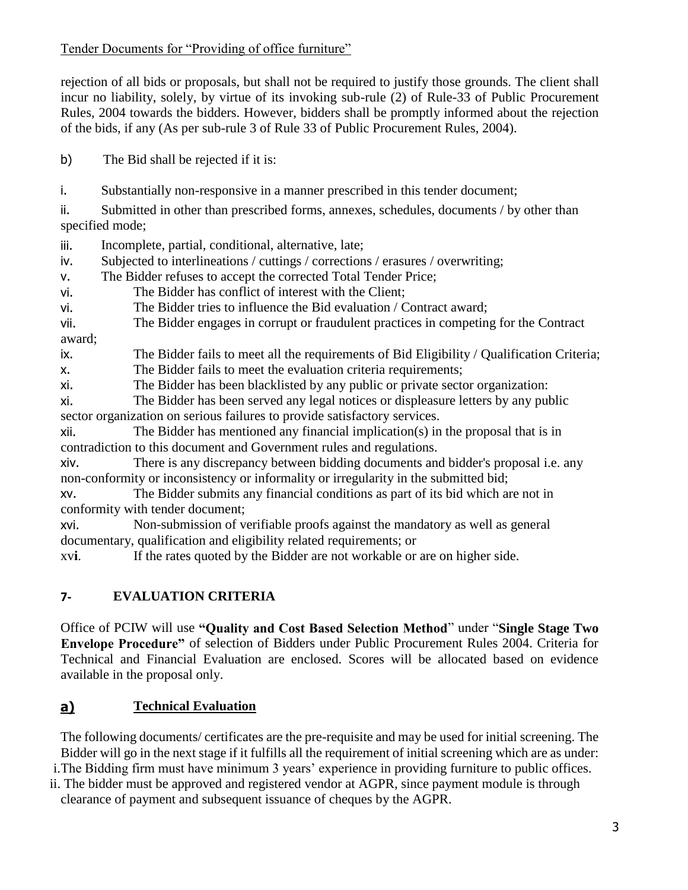rejection of all bids or proposals, but shall not be required to justify those grounds. The client shall incur no liability, solely, by virtue of its invoking sub-rule (2) of Rule-33 of Public Procurement Rules, 2004 towards the bidders. However, bidders shall be promptly informed about the rejection of the bids, if any (As per sub-rule 3 of Rule 33 of Public Procurement Rules, 2004).

b) The Bid shall be rejected if it is:

i. Substantially non-responsive in a manner prescribed in this tender document;

ii. Submitted in other than prescribed forms, annexes, schedules, documents / by other than specified mode;

iii. Incomplete, partial, conditional, alternative, late;

iv. Subjected to interlineations / cuttings / corrections / erasures / overwriting;

v. The Bidder refuses to accept the corrected Total Tender Price;

vi. The Bidder has conflict of interest with the Client;

vi. The Bidder tries to influence the Bid evaluation / Contract award;

vii. The Bidder engages in corrupt or fraudulent practices in competing for the Contract award;

ix. The Bidder fails to meet all the requirements of Bid Eligibility / Qualification Criteria;

x. The Bidder fails to meet the evaluation criteria requirements;

xi. The Bidder has been blacklisted by any public or private sector organization:

xi. The Bidder has been served any legal notices or displeasure letters by any public sector organization on serious failures to provide satisfactory services.

xii. The Bidder has mentioned any financial implication(s) in the proposal that is in contradiction to this document and Government rules and regulations.

xiv. There is any discrepancy between bidding documents and bidder's proposal i.e. any non-conformity or inconsistency or informality or irregularity in the submitted bid;

xv. The Bidder submits any financial conditions as part of its bid which are not in conformity with tender document;

xvi. Non-submission of verifiable proofs against the mandatory as well as general documentary, qualification and eligibility related requirements; or

xv**i**. If the rates quoted by the Bidder are not workable or are on higher side.

### **7- EVALUATION CRITERIA**

Office of PCIW will use **"Quality and Cost Based Selection Method**" under "**Single Stage Two Envelope Procedure"** of selection of Bidders under Public Procurement Rules 2004. Criteria for Technical and Financial Evaluation are enclosed. Scores will be allocated based on evidence available in the proposal only.

### **a) Technical Evaluation**

The following documents/ certificates are the pre-requisite and may be used for initial screening. The Bidder will go in the next stage if it fulfills all the requirement of initial screening which are as under:

i.The Bidding firm must have minimum 3 years' experience in providing furniture to public offices.

ii. The bidder must be approved and registered vendor at AGPR, since payment module is through clearance of payment and subsequent issuance of cheques by the AGPR.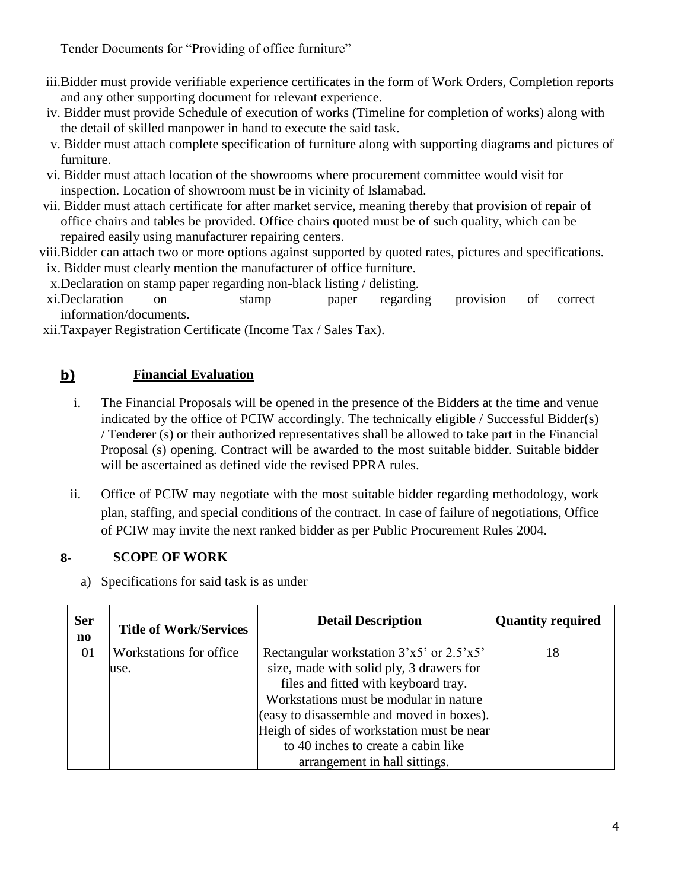- iii.Bidder must provide verifiable experience certificates in the form of Work Orders, Completion reports and any other supporting document for relevant experience.
- iv. Bidder must provide Schedule of execution of works (Timeline for completion of works) along with the detail of skilled manpower in hand to execute the said task.
- v. Bidder must attach complete specification of furniture along with supporting diagrams and pictures of furniture.
- vi. Bidder must attach location of the showrooms where procurement committee would visit for inspection. Location of showroom must be in vicinity of Islamabad.
- vii. Bidder must attach certificate for after market service, meaning thereby that provision of repair of office chairs and tables be provided. Office chairs quoted must be of such quality, which can be repaired easily using manufacturer repairing centers.
- viii.Bidder can attach two or more options against supported by quoted rates, pictures and specifications. ix. Bidder must clearly mention the manufacturer of office furniture.
	- x.Declaration on stamp paper regarding non-black listing / delisting.
- xi.Declaration on stamp paper regarding provision of correct information/documents.

xii.Taxpayer Registration Certificate (Income Tax / Sales Tax).

# **b) Financial Evaluation**

- i. The Financial Proposals will be opened in the presence of the Bidders at the time and venue indicated by the office of PCIW accordingly. The technically eligible / Successful Bidder(s) / Tenderer (s) or their authorized representatives shall be allowed to take part in the Financial Proposal (s) opening. Contract will be awarded to the most suitable bidder. Suitable bidder will be ascertained as defined vide the revised PPRA rules.
- ii. Office of PCIW may negotiate with the most suitable bidder regarding methodology, work plan, staffing, and special conditions of the contract. In case of failure of negotiations, Office of PCIW may invite the next ranked bidder as per Public Procurement Rules 2004.

# **8- SCOPE OF WORK**

a) Specifications for said task is as under

| <b>Ser</b><br>$\mathbf{n}\mathbf{o}$ | <b>Title of Work/Services</b> | <b>Detail Description</b>                    | <b>Quantity required</b> |
|--------------------------------------|-------------------------------|----------------------------------------------|--------------------------|
| 01                                   | Workstations for office       | Rectangular workstation $3'x5'$ or $2.5'x5'$ | 18                       |
|                                      | use.                          | size, made with solid ply, 3 drawers for     |                          |
|                                      |                               | files and fitted with keyboard tray.         |                          |
|                                      |                               | Workstations must be modular in nature       |                          |
|                                      |                               | (easy to disassemble and moved in boxes).    |                          |
|                                      |                               | Heigh of sides of workstation must be near   |                          |
|                                      |                               | to 40 inches to create a cabin like          |                          |
|                                      |                               | arrangement in hall sittings.                |                          |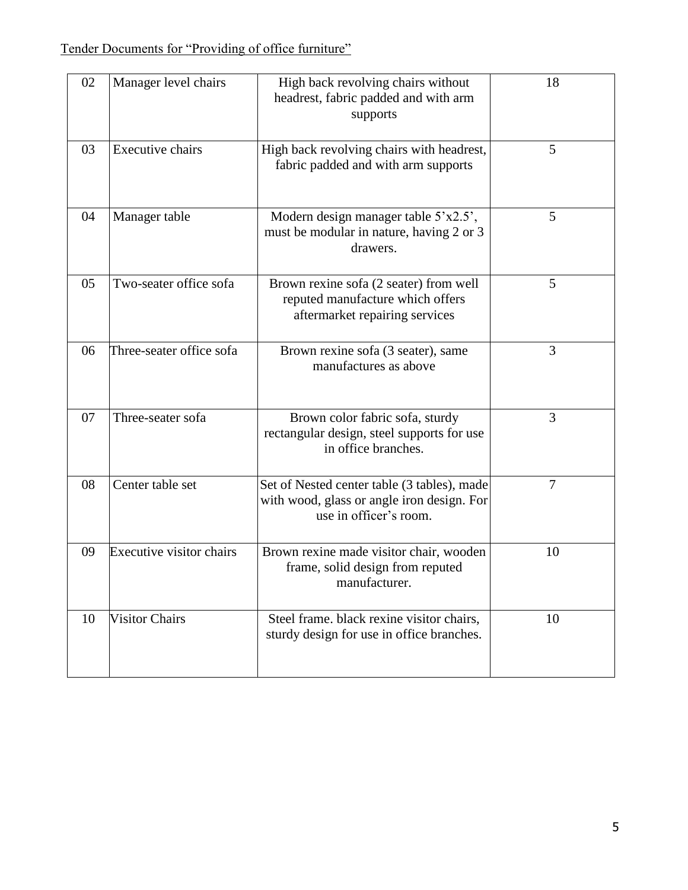| 02 | Manager level chairs            | High back revolving chairs without<br>headrest, fabric padded and with arm<br>supports                              | 18 |
|----|---------------------------------|---------------------------------------------------------------------------------------------------------------------|----|
| 03 | <b>Executive chairs</b>         | High back revolving chairs with headrest,<br>fabric padded and with arm supports                                    | 5  |
| 04 | Manager table                   | Modern design manager table $5'x2.5'$ ,<br>must be modular in nature, having 2 or 3<br>drawers.                     | 5  |
| 05 | Two-seater office sofa          | Brown rexine sofa (2 seater) from well<br>reputed manufacture which offers<br>aftermarket repairing services        | 5  |
| 06 | Three-seater office sofa        | Brown rexine sofa (3 seater), same<br>manufactures as above                                                         | 3  |
| 07 | Three-seater sofa               | Brown color fabric sofa, sturdy<br>rectangular design, steel supports for use<br>in office branches.                | 3  |
| 08 | Center table set                | Set of Nested center table (3 tables), made<br>with wood, glass or angle iron design. For<br>use in officer's room. | 7  |
| 09 | <b>Executive visitor chairs</b> | Brown rexine made visitor chair, wooden<br>frame, solid design from reputed<br>manufacturer.                        | 10 |
| 10 | <b>Visitor Chairs</b>           | Steel frame. black rexine visitor chairs,<br>sturdy design for use in office branches.                              | 10 |